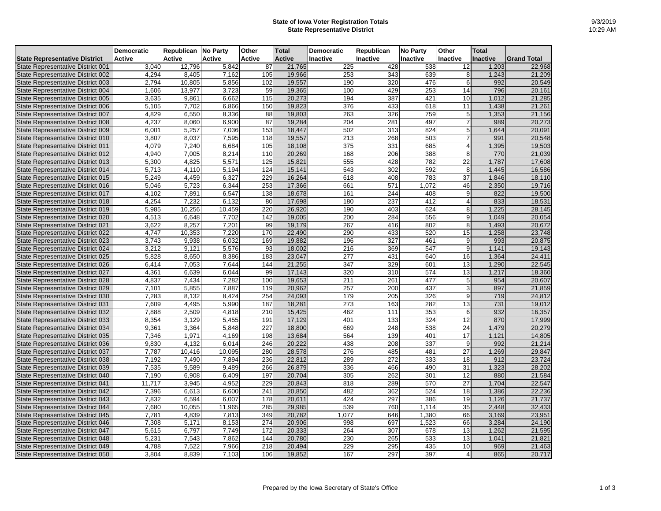## **State of Iowa Voter Registration Totals State Representative District**

|                                      | <b>Democratic</b> | <b>Republican No Party</b> |               | Other         | <b>Total</b>  | <b>Democratic</b> | <b>Republican</b> | <b>No Party</b> | <b>Other</b>    | <b>Total</b>    |                    |
|--------------------------------------|-------------------|----------------------------|---------------|---------------|---------------|-------------------|-------------------|-----------------|-----------------|-----------------|--------------------|
| <b>State Representative District</b> | <b>Active</b>     | <b>Active</b>              | <b>Active</b> | <b>Active</b> | <b>Active</b> | <b>Inactive</b>   | <b>Inactive</b>   | <b>Inactive</b> | Inactive        | <b>Inactive</b> | <b>Grand Total</b> |
| State Representative District 001    | 3,040             | 12,796                     | 5,842         | 87            | 21,765        | 225               | 428               | 538             | 12              | 1,203           | 22,968             |
| State Representative District 002    | 4,294             | 8,405                      | 7,162         | 105           | 19,966        | 253               | 343               | 639             | 8               | 1,243           | 21,209             |
| State Representative District 003    | 2,794             | 10,805                     | 5,856         | 102           | 19,557        | 190               | 320               | 476             |                 | 992             | 20,549             |
| State Representative District 004    | 1,606             | 13,977                     | 3,723         | 59            | 19,365        | 100               | 429               | 253             | 14              | 796             | 20,161             |
| State Representative District 005    | 3,635             | 9,861                      | 6,662         | 115           | 20,273        | 194               | 387               | 421             | 10              | ,012            | 21,285             |
| State Representative District 006    | 5,105             | 7,702                      | 6,866         | 150           | 19,823        | 376               | 433               | 618             | $\overline{11}$ | ,438            | 21,261             |
| State Representative District 007    | 4,829             | 6,550                      | 8,336         | 88            | 19,803        | 263               | 326               | 759             |                 | 1,353           | 21,156             |
| State Representative District 008    | 4,237             | 8,060                      | 6,900         | 87            | 19,284        | 204               | 281               | 497             |                 | 989             | 20,273             |
| State Representative District 009    | 6,001             | 5,257                      | 7,036         | 153           | 18,447        | 502               | 313               | 824             |                 | 1,644           | 20,091             |
| State Representative District 010    | 3,807             | 8,037                      | 7,595         | 118           | 19,557        | 213               | 268               | 503             |                 | 991             | 20,548             |
| State Representative District 011    | 4,079             | 7,240                      | 6,684         | 105           | 18,108        | 375               | 331               | 685             |                 | ,395            | 19,503             |
| State Representative District 012    | 4,940             | 7,005                      | 8,214         | 110           | 20,269        | 168               | 206               | 388             | 8               | 770             | 21,039             |
| State Representative District 013    | 5,300             | 4,825                      | 5,571         | 125           | 15,821        | 555               | 428               | 782             | 22              | 1,787           | 17,608             |
| State Representative District 014    | 5,713             | 4,110                      | 5,194         | 124           | 15,141        | 543               | 302               | 592             | 8               | 1,445           | 16,586             |
| State Representative District 015    | 5,249             | 4,459                      | 6,327         | 229           | 16,264        | 618               | 408               | 783             | 37              | 1,846           | 18,110             |
| State Representative District 016    | 5,046             | 5,723                      | 6,344         | 253           | 17,366        | 661               | 571               | 1,072           | 46              | 2,350           | 19,716             |
| State Representative District 017    | 4,102             | 7,891                      | 6,547         | 138           | 18,678        | 161               | 244               | 408             |                 | 822             | 19,500             |
| State Representative District 018    | 4,254             | 7,232                      | 6,132         | 80            | 17,698        | 180               | 237               | 412             |                 | 833             | 18,531             |
| State Representative District 019    | 5,985             | 10,256                     | 10,459        | 220           | 26,920        | 190               | 403               | 624             |                 | ,225            | 28,145             |
| State Representative District 020    | 4,513             | 6,648                      | 7,702         | 142           | 19,005        | 200               | 284               | 556             | g               | 1,049           | 20,054             |
| State Representative District 021    | 3,622             | 8,257                      | 7,201         | 99            | 19,179        | 267               | 416               | 802             | 8               | 1,493           | 20,672             |
| State Representative District 022    | 4,747             | 10,353                     | 7,220         | 170           | 22,490        | 290               | 433               | 520             | 15              | 1,258           | 23,748             |
| State Representative District 023    | 3,743             | 9,938                      | 6,032         | 169           | 19,882        | 196               | 327               | 461             | 9               | 993             | 20,875             |
| State Representative District 024    | 3,212             | 9,121                      | 5,576         | 93            | 18,002        | 216               | 369               | 547             | 9               | 1,141           | 19,143             |
| State Representative District 025    | 5,828             | 8,650                      | 8,386         | 183           | 23,047        | $\overline{277}$  | 431               | 640             | 16              | 1,364           | 24,411             |
| State Representative District 026    | 6,414             | 7,053                      | 7,644         | 144           | 21,255        | 347               | 329               | 601             | 13              | 1,290           | 22,545             |
| State Representative District 027    | 4,361             | 6,639                      | 6,044         | 99            | 17,143        | 320               | 310               | 574             | 13              | 1,217           | 18,360             |
| State Representative District 028    | 4,837             | 7,434                      | 7,282         | 100           | 19,653        | $\overline{211}$  | 261               | 477             |                 | 954             | 20,607             |
| State Representative District 029    | 7,101             | 5,855                      | 7,887         | 119           | 20,962        | 257               | 200               | 437             |                 | 897             | 21,859             |
| State Representative District 030    | 7,283             | 8,132                      | 8,424         | 254           | 24,093        | 179               | 205               | 326             | 9               | 719             | 24,812             |
| State Representative District 031    | 7,609             | 4,495                      | 5,990         | 187           | 18,281        | 273               | 163               | 282             | 13              | 731             | 19,012             |
| State Representative District 032    | 7,888             | 2,509                      | 4,818         | 210           | 15,425        | 462               | 111               | 353             | 6               | 932             | 16,357             |
| State Representative District 033    | 8,354             | 3,129                      | 5,455         | 191           | 17,129        | 401               | 133               | 324             | 12              | 870             | 17,999             |
| State Representative District 034    | 9,361             | 3,364                      | 5,848         | 227           | 18,800        | 669               | 248               | 538             | $\overline{24}$ | 1,479           | 20,279             |
| State Representative District 035    | 7,346             | 1,971                      | 4,169         | 198           | 13,684        | 564               | 139               | 401             | $\overline{17}$ | 1,121           | 14,805             |
| State Representative District 036    | 9,830             | 4,132                      | 6,014         | 246           | 20,222        | 438               | 208               | 337             |                 | 992             | 21,214             |
| State Representative District 037    | 7,787             | 10,416                     | 10,095        | 280           | 28,578        | 276               | 485               | 481             | 27              | 1,269           | 29,847             |
| State Representative District 038    | 7,192             | 7,490                      | 7,894         | 236           | 22,812        | 289               | 272               | 333             | 18              | 912             | 23,724             |
| State Representative District 039    | 7,535             | 9,589                      | 9,489         | 266           | 26,879        | 336               | 466               | 490             | 31              | 1,323           | 28,202             |
| State Representative District 040    | 7,190             | 6,908                      | 6,409         | 197           | 20,704        | 305               | 262               | 301             | 12              | 880             | 21,584             |
| State Representative District 041    | 11,717            | 3,945                      | 4,952         | 229           | 20,843        | 818               | 289               | 570             | 27              | 1,704           | 22,547             |
| State Representative District 042    | 7,396             | 6,613                      | 6,600         | 241           | 20,850        | 482               | 362               | 524             | 18              | 1,386           | 22,236             |
| State Representative District 043    | 7,832             | 6,594                      | 6,007         | 178           | 20,611        | 424               | 297               | 386             | 19              | 1,126           | 21,737             |
| State Representative District 044    | 7,680             | 10,055                     | 11,965        | 285           | 29,985        | 539               | 760               | 1,114           | 35              | 2,448           | 32,433             |
| State Representative District 045    | 7,781             | 4,839                      | 7,813         | 349           | 20,782        | 1,077             | 646               | 1,380           | 66              | 3,169           | 23,951             |
| State Representative District 046    | 7,308             | 5,171                      | 8,153         | 274           | 20,906        | 998               | 697               | 1,523           | 66              | 3,284           | 24,190             |
| State Representative District 047    | 5,615             | 6,797                      | 7,749         | 172           | 20,333        | 264               | 307               | 678             | 13              | 1,262           | 21,595             |
| State Representative District 048    | 5,231             | 7,543                      | 7,862         | 144           | 20,780        | 230               | 265               | 533             | 13              | 1,041           | 21,821             |
| State Representative District 049    | 4,788             | 7,522                      | 7,966         | 218           | 20,494        | 229               | 295               | 435             | 10              | 969             | 21,463             |
| State Representative District 050    | 3,804             | 8,839                      | 7,103         | 106           | 19,852        | 167               | 297               | 397             |                 | 865             | 20,717             |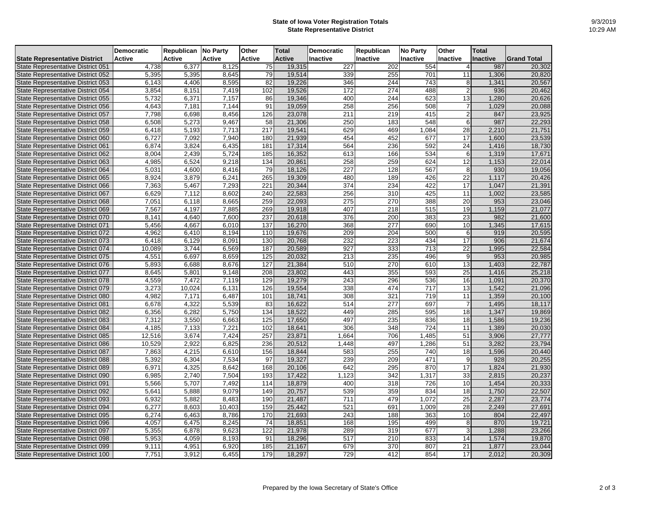## **State of Iowa Voter Registration Totals State Representative District**

|                                      | <b>Democratic</b> | <b>Republican No Party</b> |               | <b>Other</b>    | <b>Total</b>  | <b>Democratic</b> | <b>Republican</b> | <b>No Party</b>  | <b>Other</b>    | <b>Total</b>    |                     |
|--------------------------------------|-------------------|----------------------------|---------------|-----------------|---------------|-------------------|-------------------|------------------|-----------------|-----------------|---------------------|
| <b>State Representative District</b> | <b>Active</b>     | <b>Active</b>              | <b>Active</b> | <b>Active</b>   | <b>Active</b> | <b>Inactive</b>   | Inactive          | <b>Inactive</b>  | Inactive        | <b>Inactive</b> | <b>IGrand Total</b> |
| State Representative District 051    | 4,738             | 6,377                      | 8,125         | 75              | 19,315        | 227               | 202               | 554              |                 | 987             | 20,302              |
| State Representative District 052    | 5,395             | 5,395                      | 8,645         | 79              | 19,514        | 339               | 255               | 701              | 11              | 1,306           | 20,820              |
| State Representative District 053    | 6,143             | 4,406                      | 8,595         | 82              | 19,226        | 346               | 244               | 743              |                 | 1,341           | 20,567              |
| State Representative District 054    | 3,854             | 8,151                      | 7,419         | 102             | 19,526        | 172               | 274               | 488              |                 | 936             | 20,462              |
| State Representative District 055    | 5,732             | 6,371                      | 7,157         | 86              | 19,346        | 400               | 244               | 623              | 13              | ,280            | 20,626              |
| State Representative District 056    | 4,643             | 7,181                      | 7,144         | 91              | 19,059        | 258               | 256               | 508              |                 | .029            | 20,088              |
| State Representative District 057    | 7,798             | 6,698                      | 8,456         | 126             | 23,078        | 211               | 219               | 415              |                 | 847             | 23,925              |
| State Representative District 058    | 6,508             | 5,273                      | 9,467         | 58              | 21,306        | 250               | 183               | 548              | 6               | 987             | 22,293              |
| State Representative District 059    | 6,418             | 5,193                      | 7,713         | 217             | 19,541        | 629               | 469               | 1,084            | 28              | 2,210           | 21,751              |
| State Representative District 060    | 6,727             | 7,092                      | 7,940         | 180             | 21,939        | 454               | 452               | 677              | 17              | 1,600           | 23,539              |
| State Representative District 061    | 6,874             | 3,824                      | 6,435         | 181             | 17,314        | 564               | 236               | 592              | 24              | 1,416           | 18,730              |
| State Representative District 062    | 8,004             | 2,439                      | 5,724         | 185             | 16,352        | 613               | 166               | 534              | 6               | 1,319           | 17,671              |
| State Representative District 063    | 4,985             | 6,524                      | 9,218         | 134             | 20,861        | 258               | 259               | 624              | 12              | 1,153           | 22,014              |
| State Representative District 064    | 5,031             | 4,600                      | 8,416         | 79              | 18,126        | 227               | 128               | 567              | 8               | 930             | 19,056              |
| State Representative District 065    | 8,924             | 3,879                      | 6,241         | 265             | 19,309        | 480               | 189               | 426              | 22              | 1,117           | 20,426              |
| State Representative District 066    | 7,363             | 5,467                      | 7,293         | 221             | 20,344        | 374               | 234               | 422              | $\overline{17}$ | 1,047           | 21,391              |
| State Representative District 067    | 6,629             | 7,112                      | 8,602         | 240             | 22,583        | 256               | 310               | 425              | 11              | 1,002           | 23,585              |
| State Representative District 068    | 7,051             | 6,118                      | 8,665         | 259             | 22,093        | 275               | 270               | 388              | 20              | 953             | 23,046              |
| State Representative District 069    | 7,567             | 4,197                      | 7,885         | 269             | 19,918        | 407               | 218               | 515              | 19              | 1,159           | 21,077              |
| State Representative District 070    | 8,141             | 4,640                      | 7,600         | 237             | 20,618        | 376               | 200               | 383              | 23              | 982             | 21,600              |
| State Representative District 071    | 5,456             | 4,667                      | 6,010         | $\frac{137}{1}$ | 16,270        | 368               | $\overline{277}$  | 690              | 10              | , 345           | 17,615              |
| State Representative District 072    | 4,962             | 6,410                      | 8,194         | 110             | 19,676        | 209               | 204               | 500              | 6               | 919             | 20,595              |
| State Representative District 073    | 6,418             | 6,129                      | 8,091         | 130             | 20,768        | 232               | 223               | 434              | 17              | 906             | 21,674              |
| State Representative District 074    | 10,089            | 3,744                      | 6,569         | 187             | 20,589        | 927               | 333               | $\frac{1}{713}$  | $\overline{22}$ | ,995            | 22,584              |
| State Representative District 075    | 4,551             | 6,697                      | 8,659         | 125             | 20,032        | 213               | 235               | 496              | 9               | 953             | 20,985              |
| State Representative District 076    | 5,893             | 6,688                      | 8,676         | 127             | 21,384        | 510               | 270               | 610              | 13              | 1,403           | 22,787              |
| State Representative District 077    | 8,645             | 5,801                      | 9,148         | 208             | 23,802        | 443               | 355               | 593              | $\overline{25}$ | 1,416           | 25,218              |
| State Representative District 078    | 4,559             | 7,472                      | 7,119         | 129             | 19,279        | 243               | 296               | 536              | 16              | 1,091           | 20,370              |
| State Representative District 079    | 3,273             | 10,024                     | 6,131         | 126             | 19,554        | 338               | 474               | $\overline{717}$ | 13              | 1,542           | 21,096              |
| State Representative District 080    | 4,982             | 7,171                      | 6,487         | 101             | 18,741        | 308               | 321               | 719              | $\overline{11}$ | ,359            | 20,100              |
| State Representative District 081    | 6,678             | 4,322                      | 5,539         | 83              | 16,622        | 514               | 277               | 697              |                 | 1,495           | 18,117              |
| State Representative District 082    | 6,356             | 6,282                      | 5,750         | 134             | 18,522        | 449               | 285               | 595              | 18              | 1,347           | 19,869              |
| State Representative District 083    | 7,312             | 3,550                      | 6,663         | 125             | 17,650        | 497               | 235               | 836              | 18              | 1,586           | 19,236              |
| State Representative District 084    | 4,185             | 7,133                      | 7,221         | 102             | 18,641        | 306               | 348               | 724              | $\overline{11}$ | 1,389           | 20,030              |
| State Representative District 085    | 12,516            | 3,674                      | 7,424         | 257             | 23,871        | 1,664             | 706               | ,485             | 51              | 3,906           | 27,777              |
| State Representative District 086    | 10,529            | 2,922                      | 6,825         | 236             | 20,512        | 1,448             | 497               | 1,286            | 51              | 3,282           | 23,794              |
| State Representative District 087    | 7,863             | 4,215                      | 6,610         | 156             | 18,844        | 583               | 255               | 740              | 18              | 1,596           | 20,440              |
| State Representative District 088    | 5,392             | 6,304                      | 7,534         | 97              | 19,327        | 239               | 209               | 471              | 9               | 928             | 20,255              |
| State Representative District 089    | 6,971             | 4,325                      | 8,642         | 168             | 20,106        | 642               | 295               | 870              | 17              | 1,824           | 21,930              |
| State Representative District 090    | 6,985             | 2,740                      | 7,504         | 193             | 17,422        | 1,123             | 342               | ,317             | 33              | 2,815           | 20,237              |
| State Representative District 091    | 5,566             | 5,707                      | 7,492         | 114             | 18,879        | 400               | 318               | 726              | 10              | 1,454           | 20,333              |
| State Representative District 092    | 5,641             | 5,888                      | 9,079         | 149             | 20,757        | 539               | 359               | 834              | 18              | 1,750           | 22,507              |
| State Representative District 093    | 6,932             | 5,882                      | 8,483         | 190             | 21,487        | $\overline{711}$  | 479               | ,072             | 25              | 2,287           | 23,774              |
| State Representative District 094    | 6,277             | 8,603                      | 10,403        | 159             | 25,442        | 521               | 691               | 1,009            | 28              | 2,249           | 27,691              |
| State Representative District 095    | 6,274             | 6,463                      | 8,786         | 170             | 21,693        | 243               | 188               | 363              | 10              | 804             | 22,497              |
| State Representative District 096    | 4,057             | 6,475                      | 8,245         | 74              | 18,851        | 168               | 195               | 499              | 8               | 870             | 19,721              |
| State Representative District 097    | 5,355             | 6,878                      | 9,623         | 122             | 21,978        | 289               | 319               | 677              | 3               | 1,288           | 23,266              |
| State Representative District 098    | 5,953             | 4,059                      | 8,193         | 91              | 18,296        | 517               | 210               | 833              | 14              | 1,574           | 19,870              |
| State Representative District 099    | 9,111             | 4,951                      | 6,920         | 185             | 21,167        | 679               | 370               | 807              | $\overline{21}$ | 1,877           | 23,044              |
| State Representative District 100    | 7,751             | 3,912                      | 6,455         | 179             | 18,297        | 729               | 412               | 854              | 17              | 2,012           | 20,309              |